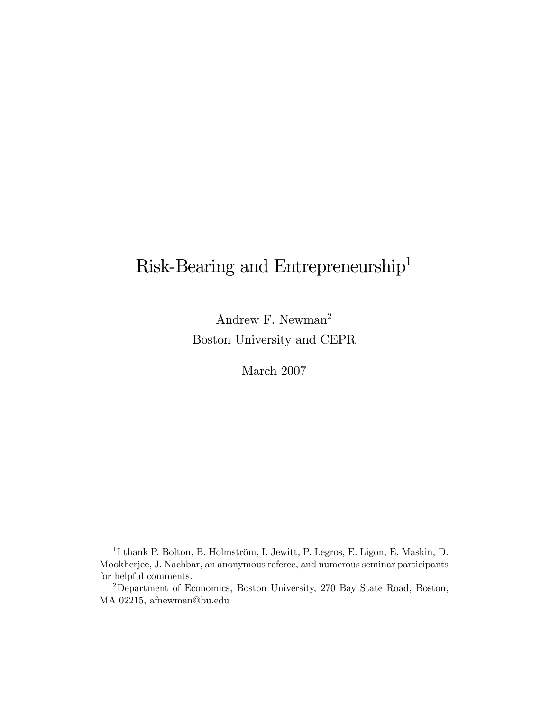# Risk-Bearing and Entrepreneurship<sup>1</sup>

Andrew F. Newman<sup>2</sup> Boston University and CEPR

March 2007

1I thank P. Bolton, B. Holmström, I. Jewitt, P. Legros, E. Ligon, E. Maskin, D. Mookherjee, J. Nachbar, an anonymous referee, and numerous seminar participants for helpful comments.

2Department of Economics, Boston University, 270 Bay State Road, Boston, MA 02215, afnewman@bu.edu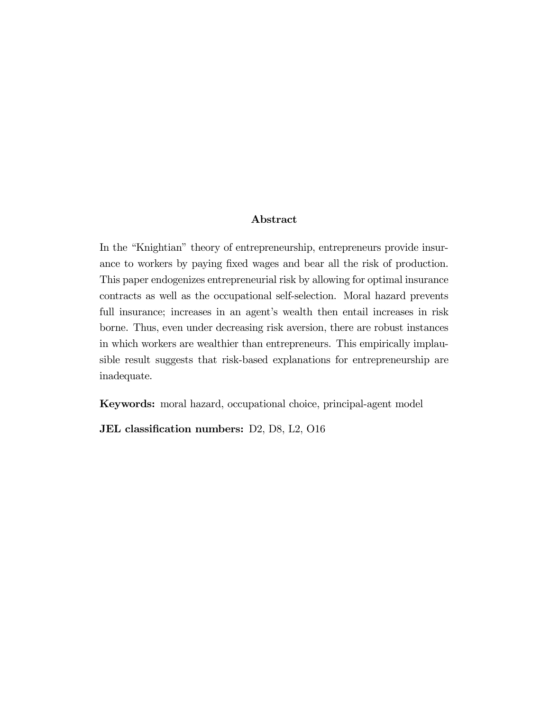#### Abstract

In the "Knightian" theory of entrepreneurship, entrepreneurs provide insurance to workers by paying fixed wages and bear all the risk of production. This paper endogenizes entrepreneurial risk by allowing for optimal insurance contracts as well as the occupational self-selection. Moral hazard prevents full insurance; increases in an agent's wealth then entail increases in risk borne. Thus, even under decreasing risk aversion, there are robust instances in which workers are wealthier than entrepreneurs. This empirically implausible result suggests that risk-based explanations for entrepreneurship are inadequate.

Keywords: moral hazard, occupational choice, principal-agent model

JEL classification numbers: D2, D8, L2, O16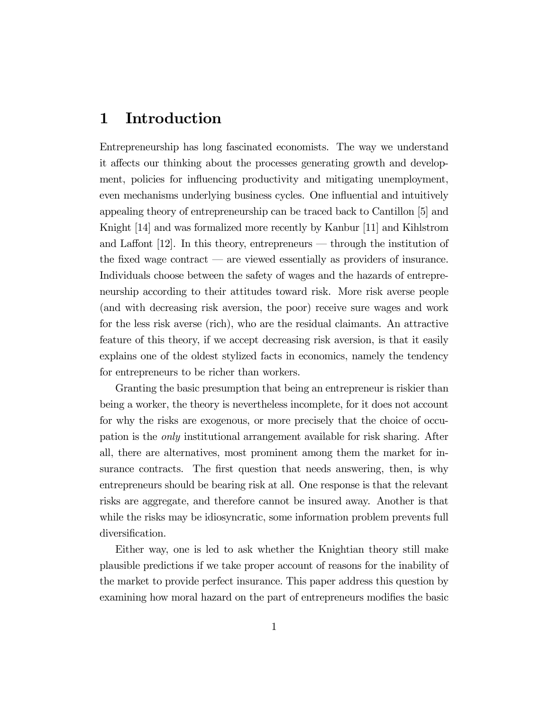## 1 Introduction

Entrepreneurship has long fascinated economists. The way we understand it affects our thinking about the processes generating growth and development, policies for influencing productivity and mitigating unemployment, even mechanisms underlying business cycles. One influential and intuitively appealing theory of entrepreneurship can be traced back to Cantillon [5] and Knight [14] and was formalized more recently by Kanbur [11] and Kihlstrom and Laffont  $[12]$ . In this theory, entrepreneurs — through the institution of the fixed wage contract – are viewed essentially as providers of insurance. Individuals choose between the safety of wages and the hazards of entrepreneurship according to their attitudes toward risk. More risk averse people (and with decreasing risk aversion, the poor) receive sure wages and work for the less risk averse (rich), who are the residual claimants. An attractive feature of this theory, if we accept decreasing risk aversion, is that it easily explains one of the oldest stylized facts in economics, namely the tendency for entrepreneurs to be richer than workers.

Granting the basic presumption that being an entrepreneur is riskier than being a worker, the theory is nevertheless incomplete, for it does not account for why the risks are exogenous, or more precisely that the choice of occupation is the only institutional arrangement available for risk sharing. After all, there are alternatives, most prominent among them the market for insurance contracts. The first question that needs answering, then, is why entrepreneurs should be bearing risk at all. One response is that the relevant risks are aggregate, and therefore cannot be insured away. Another is that while the risks may be idiosyncratic, some information problem prevents full diversification.

Either way, one is led to ask whether the Knightian theory still make plausible predictions if we take proper account of reasons for the inability of the market to provide perfect insurance. This paper address this question by examining how moral hazard on the part of entrepreneurs modifies the basic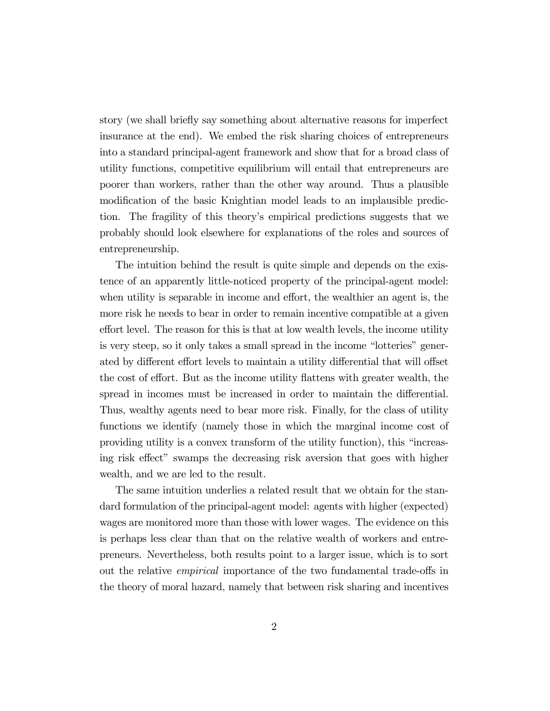story (we shall briefly say something about alternative reasons for imperfect insurance at the end). We embed the risk sharing choices of entrepreneurs into a standard principal-agent framework and show that for a broad class of utility functions, competitive equilibrium will entail that entrepreneurs are poorer than workers, rather than the other way around. Thus a plausible modification of the basic Knightian model leads to an implausible prediction. The fragility of this theory's empirical predictions suggests that we probably should look elsewhere for explanations of the roles and sources of entrepreneurship.

The intuition behind the result is quite simple and depends on the existence of an apparently little-noticed property of the principal-agent model: when utility is separable in income and effort, the wealthier an agent is, the more risk he needs to bear in order to remain incentive compatible at a given effort level. The reason for this is that at low wealth levels, the income utility is very steep, so it only takes a small spread in the income "lotteries" generated by different effort levels to maintain a utility differential that will offset the cost of effort. But as the income utility flattens with greater wealth, the spread in incomes must be increased in order to maintain the differential. Thus, wealthy agents need to bear more risk. Finally, for the class of utility functions we identify (namely those in which the marginal income cost of providing utility is a convex transform of the utility function), this "increasing risk effect" swamps the decreasing risk aversion that goes with higher wealth, and we are led to the result.

The same intuition underlies a related result that we obtain for the standard formulation of the principal-agent model: agents with higher (expected) wages are monitored more than those with lower wages. The evidence on this is perhaps less clear than that on the relative wealth of workers and entrepreneurs. Nevertheless, both results point to a larger issue, which is to sort out the relative empirical importance of the two fundamental trade-offs in the theory of moral hazard, namely that between risk sharing and incentives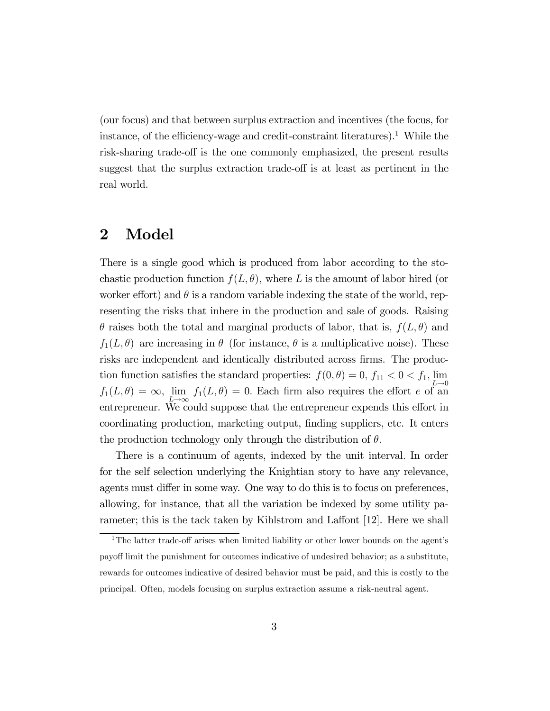(our focus) and that between surplus extraction and incentives (the focus, for instance, of the efficiency-wage and credit-constraint literatures).<sup>1</sup> While the risk-sharing trade-off is the one commonly emphasized, the present results suggest that the surplus extraction trade-off is at least as pertinent in the real world.

## 2 Model

There is a single good which is produced from labor according to the stochastic production function  $f(L, \theta)$ , where L is the amount of labor hired (or worker effort) and  $\theta$  is a random variable indexing the state of the world, representing the risks that inhere in the production and sale of goods. Raising  $\theta$  raises both the total and marginal products of labor, that is,  $f(L, \theta)$  and  $f_1(L, \theta)$  are increasing in  $\theta$  (for instance,  $\theta$  is a multiplicative noise). These risks are independent and identically distributed across firms. The production function satisfies the standard properties:  $f(0, \theta) = 0$ ,  $f_{11} < 0 < f_1$ ,  $\lim_{L \to 0}$  $f_1(L, \theta) = \infty$ ,  $\lim_{L \to \infty} f_1(L, \theta) = 0$ . Each firm also requires the effort e of an entrepreneur. We could suppose that the entrepreneur expends this effort in coordinating production, marketing output, finding suppliers, etc. It enters the production technology only through the distribution of  $\theta$ .

There is a continuum of agents, indexed by the unit interval. In order for the self selection underlying the Knightian story to have any relevance, agents must differ in some way. One way to do this is to focus on preferences, allowing, for instance, that all the variation be indexed by some utility parameter; this is the tack taken by Kihlstrom and Laffont [12]. Here we shall

<sup>&</sup>lt;sup>1</sup>The latter trade-off arises when limited liability or other lower bounds on the agent's payoff limit the punishment for outcomes indicative of undesired behavior; as a substitute, rewards for outcomes indicative of desired behavior must be paid, and this is costly to the principal. Often, models focusing on surplus extraction assume a risk-neutral agent.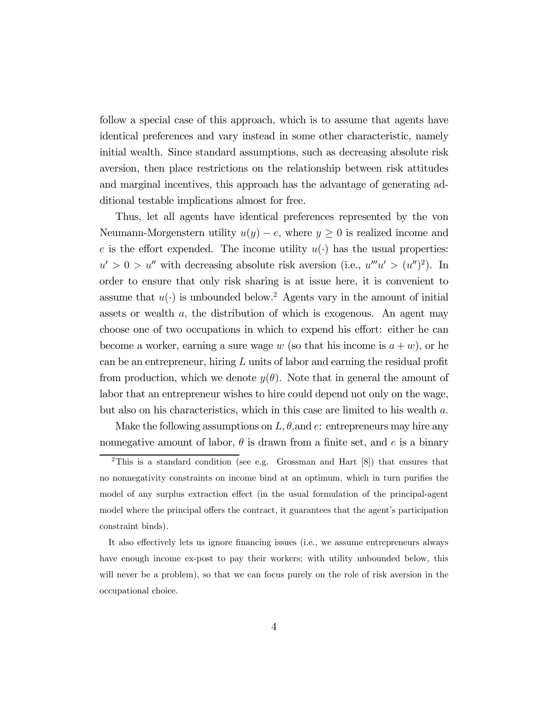follow a special case of this approach, which is to assume that agents have identical preferences and vary instead in some other characteristic, namely initial wealth. Since standard assumptions, such as decreasing absolute risk aversion, then place restrictions on the relationship between risk attitudes and marginal incentives, this approach has the advantage of generating additional testable implications almost for free.

Thus, let all agents have identical preferences represented by the von Neumann-Morgenstern utility  $u(y) - e$ , where  $y \ge 0$  is realized income and e is the effort expended. The income utility  $u(\cdot)$  has the usual properties:  $u' > 0 > u''$  with decreasing absolute risk aversion (i.e.,  $u'''u' > (u'')^2$ ). In order to ensure that only risk sharing is at issue here, it is convenient to assume that  $u(\cdot)$  is unbounded below.<sup>2</sup> Agents vary in the amount of initial assets or wealth a, the distribution of which is exogenous. An agent may choose one of two occupations in which to expend his effort: either he can become a worker, earning a sure wage w (so that his income is  $a + w$ ), or he can be an entrepreneur, hiring L units of labor and earning the residual profit from production, which we denote  $y(\theta)$ . Note that in general the amount of labor that an entrepreneur wishes to hire could depend not only on the wage, but also on his characteristics, which in this case are limited to his wealth a.

Make the following assumptions on  $L, \theta$ , and  $e$ : entrepreneurs may hire any nonnegative amount of labor,  $\theta$  is drawn from a finite set, and e is a binary

<sup>&</sup>lt;sup>2</sup>This is a standard condition (see e.g. Grossman and Hart  $[8]$ ) that ensures that no nonnegativity constraints on income bind at an optimum, which in turn purifies the model of any surplus extraction effect (in the usual formulation of the principal-agent model where the principal offers the contract, it guarantees that the agent's participation constraint binds).

It also effectively lets us ignore financing issues (i.e., we assume entrepreneurs always have enough income ex-post to pay their workers; with utility unbounded below, this will never be a problem), so that we can focus purely on the role of risk aversion in the occupational choice.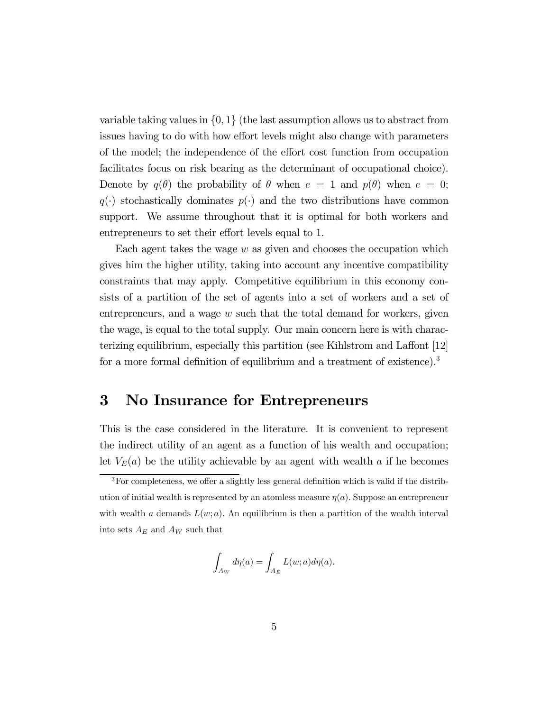variable taking values in  $\{0, 1\}$  (the last assumption allows us to abstract from issues having to do with how effort levels might also change with parameters of the model; the independence of the effort cost function from occupation facilitates focus on risk bearing as the determinant of occupational choice). Denote by  $q(\theta)$  the probability of  $\theta$  when  $e = 1$  and  $p(\theta)$  when  $e = 0$ ;  $q(\cdot)$  stochastically dominates  $p(\cdot)$  and the two distributions have common support. We assume throughout that it is optimal for both workers and entrepreneurs to set their effort levels equal to 1.

Each agent takes the wage  $w$  as given and chooses the occupation which gives him the higher utility, taking into account any incentive compatibility constraints that may apply. Competitive equilibrium in this economy consists of a partition of the set of agents into a set of workers and a set of entrepreneurs, and a wage  $w$  such that the total demand for workers, given the wage, is equal to the total supply. Our main concern here is with characterizing equilibrium, especially this partition (see Kihlstrom and Laffont [12] for a more formal definition of equilibrium and a treatment of existence).<sup>3</sup>

### 3 No Insurance for Entrepreneurs

This is the case considered in the literature. It is convenient to represent the indirect utility of an agent as a function of his wealth and occupation; let  $V_E(a)$  be the utility achievable by an agent with wealth a if he becomes

$$
\int_{A_W} d\eta(a) = \int_{A_E} L(w;a) d\eta(a).
$$

<sup>3</sup>For completeness, we offer a slightly less general definition which is valid if the distribution of initial wealth is represented by an atomless measure  $\eta(a)$ . Suppose an entrepreneur with wealth a demands  $L(w; a)$ . An equilibrium is then a partition of the wealth interval into sets  $A_E$  and  $A_W$  such that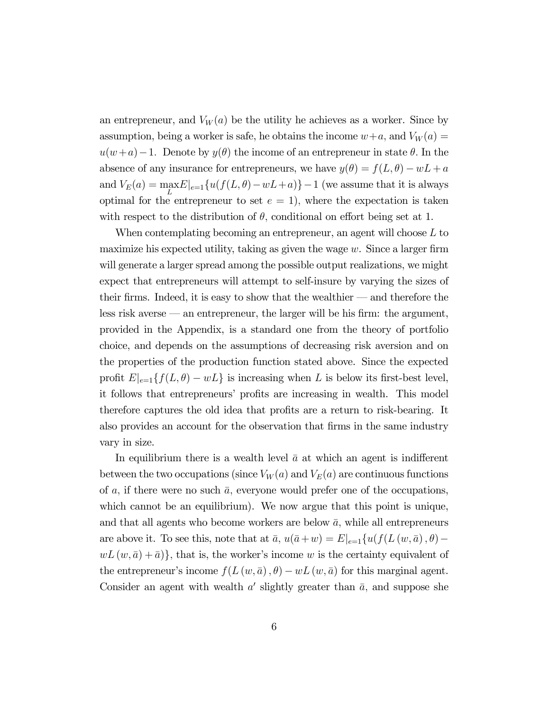an entrepreneur, and  $V_W(a)$  be the utility he achieves as a worker. Since by assumption, being a worker is safe, he obtains the income  $w+a$ , and  $V_W(a) =$ u(w+a)−1. Denote by y(θ) the income of an entrepreneur in state θ. In the absence of any insurance for entrepreneurs, we have  $y(\theta) = f(L, \theta) - wL + a$ and  $V_E(a) = \max_{L} E|_{e=1} \{ u(f(L, \theta) - wL + a) \} - 1$  (we assume that it is always optimal for the entrepreneur to set  $e = 1$ , where the expectation is taken with respect to the distribution of  $\theta$ , conditional on effort being set at 1.

When contemplating becoming an entrepreneur, an agent will choose  $L$  to maximize his expected utility, taking as given the wage  $w$ . Since a larger firm will generate a larger spread among the possible output realizations, we might expect that entrepreneurs will attempt to self-insure by varying the sizes of their firms. Indeed, it is easy to show that the wealthier – and therefore the less risk averse – an entrepreneur, the larger will be his firm: the argument, provided in the Appendix, is a standard one from the theory of portfolio choice, and depends on the assumptions of decreasing risk aversion and on the properties of the production function stated above. Since the expected profit  $E|_{e=1}\{f(L,\theta) - wL\}$  is increasing when L is below its first-best level, it follows that entrepreneurs' profits are increasing in wealth. This model therefore captures the old idea that profits are a return to risk-bearing. It also provides an account for the observation that firms in the same industry vary in size.

In equilibrium there is a wealth level  $\bar{a}$  at which an agent is indifferent between the two occupations (since  $V_W(a)$  and  $V_E(a)$  are continuous functions of a, if there were no such  $\bar{a}$ , everyone would prefer one of the occupations, which cannot be an equilibrium). We now argue that this point is unique, and that all agents who become workers are below  $\bar{a}$ , while all entrepreneurs are above it. To see this, note that at  $\bar{a}$ ,  $u(\bar{a}+w) = E|_{e=1}\{u(f(L(w,\bar{a}), \theta)$  $wL(w, \bar{a}) + \bar{a}$ , that is, the worker's income w is the certainty equivalent of the entrepreneur's income  $f(L(w, \bar{a}), \theta) - wL(w, \bar{a})$  for this marginal agent. Consider an agent with wealth  $a'$  slightly greater than  $\bar{a}$ , and suppose she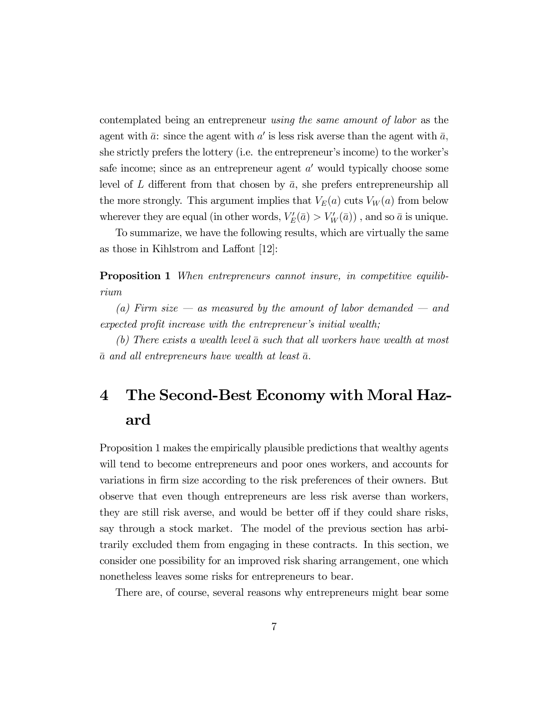contemplated being an entrepreneur using the same amount of labor as the agent with  $\bar{a}$ : since the agent with a' is less risk averse than the agent with  $\bar{a}$ , she strictly prefers the lottery (i.e. the entrepreneur's income) to the worker's safe income; since as an entrepreneur agent  $a'$  would typically choose some level of L different from that chosen by  $\bar{a}$ , she prefers entrepreneurship all the more strongly. This argument implies that  $V_E(a)$  cuts  $V_W(a)$  from below wherever they are equal (in other words,  $V'_E(\bar{a}) > V'_W(\bar{a})$ ), and so  $\bar{a}$  is unique.

To summarize, we have the following results, which are virtually the same as those in Kihlstrom and Laffont [12]:

**Proposition 1** When entrepreneurs cannot insure, in competitive equilibrium

(a) Firm size  $-$  as measured by the amount of labor demanded  $-$  and expected profit increase with the entrepreneur's initial wealth;

(b) There exists a wealth level  $\bar{a}$  such that all workers have wealth at most  $\bar{a}$  and all entrepreneurs have wealth at least  $\bar{a}$ .

# 4 The Second-Best Economy with Moral Hazard

Proposition 1 makes the empirically plausible predictions that wealthy agents will tend to become entrepreneurs and poor ones workers, and accounts for variations in firm size according to the risk preferences of their owners. But observe that even though entrepreneurs are less risk averse than workers, they are still risk averse, and would be better off if they could share risks, say through a stock market. The model of the previous section has arbitrarily excluded them from engaging in these contracts. In this section, we consider one possibility for an improved risk sharing arrangement, one which nonetheless leaves some risks for entrepreneurs to bear.

There are, of course, several reasons why entrepreneurs might bear some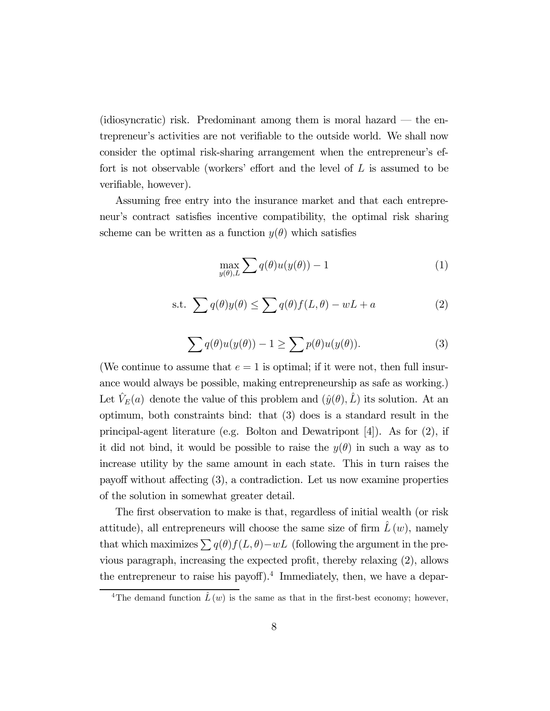$(i*diosyncratic*)$  risk. Predominant among them is moral hazard  $-$  the entrepreneur's activities are not verifiable to the outside world. We shall now consider the optimal risk-sharing arrangement when the entrepreneur's effort is not observable (workers' effort and the level of  $L$  is assumed to be verifiable, however).

Assuming free entry into the insurance market and that each entrepreneur's contract satisfies incentive compatibility, the optimal risk sharing scheme can be written as a function  $y(\theta)$  which satisfies

$$
\max_{y(\theta),L} \sum q(\theta)u(y(\theta)) - 1\tag{1}
$$

s.t. 
$$
\sum q(\theta)y(\theta) \le \sum q(\theta)f(L,\theta) - wL + a
$$
 (2)

$$
\sum q(\theta)u(y(\theta)) - 1 \ge \sum p(\theta)u(y(\theta)).
$$
\n(3)

(We continue to assume that  $e = 1$  is optimal; if it were not, then full insurance would always be possible, making entrepreneurship as safe as working.) Let  $\hat{V}_E(a)$  denote the value of this problem and  $(\hat{y}(\theta), \hat{L})$  its solution. At an optimum, both constraints bind: that (3) does is a standard result in the principal-agent literature (e.g. Bolton and Dewatripont [4]). As for (2), if it did not bind, it would be possible to raise the  $y(\theta)$  in such a way as to increase utility by the same amount in each state. This in turn raises the payoff without affecting (3), a contradiction. Let us now examine properties of the solution in somewhat greater detail.

The first observation to make is that, regardless of initial wealth (or risk attitude), all entrepreneurs will choose the same size of firm  $\hat{L}(w)$ , namely that which maximizes  $\sum q(\theta) f(L, \theta) - wL$  (following the argument in the previous paragraph, increasing the expected profit, thereby relaxing (2), allows the entrepreneur to raise his payoff).<sup>4</sup> Immediately, then, we have a depar-

<sup>&</sup>lt;sup>4</sup>The demand function  $\hat{L}(w)$  is the same as that in the first-best economy; however,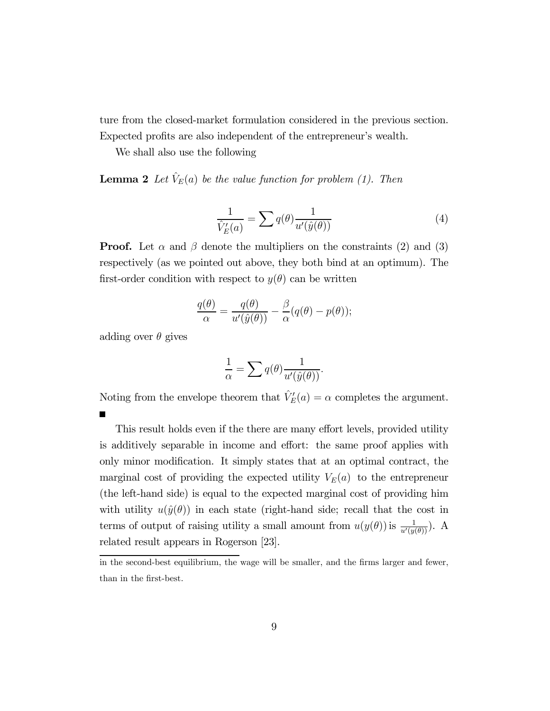ture from the closed-market formulation considered in the previous section. Expected profits are also independent of the entrepreneur's wealth.

We shall also use the following

**Lemma 2** Let  $\hat{V}_E(a)$  be the value function for problem (1). Then

$$
\frac{1}{\hat{V}'_E(a)} = \sum q(\theta) \frac{1}{u'(\hat{y}(\theta))}
$$
(4)

**Proof.** Let  $\alpha$  and  $\beta$  denote the multipliers on the constraints (2) and (3) respectively (as we pointed out above, they both bind at an optimum). The first-order condition with respect to  $y(\theta)$  can be written

$$
\frac{q(\theta)}{\alpha} = \frac{q(\theta)}{u'(\hat{y}(\theta))} - \frac{\beta}{\alpha}(q(\theta) - p(\theta));
$$

adding over  $\theta$  gives

$$
\frac{1}{\alpha} = \sum q(\theta) \frac{1}{u'(\hat{y}(\theta))}.
$$

Noting from the envelope theorem that  $\hat{V}'_E(a) = \alpha$  completes the argument.

This result holds even if the there are many effort levels, provided utility is additively separable in income and effort: the same proof applies with only minor modification. It simply states that at an optimal contract, the marginal cost of providing the expected utility  $V_E(a)$  to the entrepreneur (the left-hand side) is equal to the expected marginal cost of providing him with utility  $u(\hat{y}(\theta))$  in each state (right-hand side; recall that the cost in terms of output of raising utility a small amount from  $u(y(\theta))$  is  $\frac{1}{u'(y(\theta))}$ . A related result appears in Rogerson [23].

in the second-best equilibrium, the wage will be smaller, and the firms larger and fewer, than in the first-best.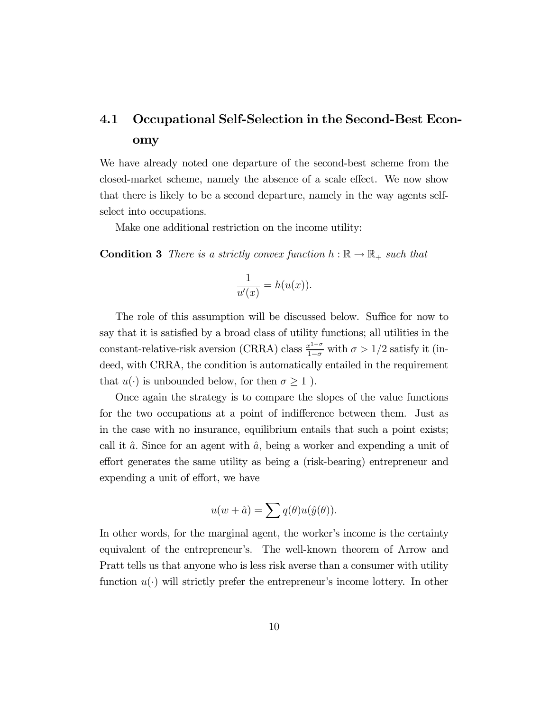## 4.1 Occupational Self-Selection in the Second-Best Economy

We have already noted one departure of the second-best scheme from the closed-market scheme, namely the absence of a scale effect. We now show that there is likely to be a second departure, namely in the way agents selfselect into occupations.

Make one additional restriction on the income utility:

**Condition 3** There is a strictly convex function  $h : \mathbb{R} \to \mathbb{R}_+$  such that

$$
\frac{1}{u'(x)} = h(u(x)).
$$

The role of this assumption will be discussed below. Suffice for now to say that it is satisfied by a broad class of utility functions; all utilities in the constant-relative-risk aversion (CRRA) class  $\frac{x^{1-\sigma}}{1-\sigma}$  with  $\sigma > 1/2$  satisfy it (indeed, with CRRA, the condition is automatically entailed in the requirement that  $u(\cdot)$  is unbounded below, for then  $\sigma \geq 1$ ).

Once again the strategy is to compare the slopes of the value functions for the two occupations at a point of indifference between them. Just as in the case with no insurance, equilibrium entails that such a point exists; call it  $\hat{a}$ . Since for an agent with  $\hat{a}$ , being a worker and expending a unit of effort generates the same utility as being a (risk-bearing) entrepreneur and expending a unit of effort, we have

$$
u(w + \hat{a}) = \sum q(\theta)u(\hat{y}(\theta)).
$$

In other words, for the marginal agent, the worker's income is the certainty equivalent of the entrepreneur's. The well-known theorem of Arrow and Pratt tells us that anyone who is less risk averse than a consumer with utility function  $u(\cdot)$  will strictly prefer the entrepreneur's income lottery. In other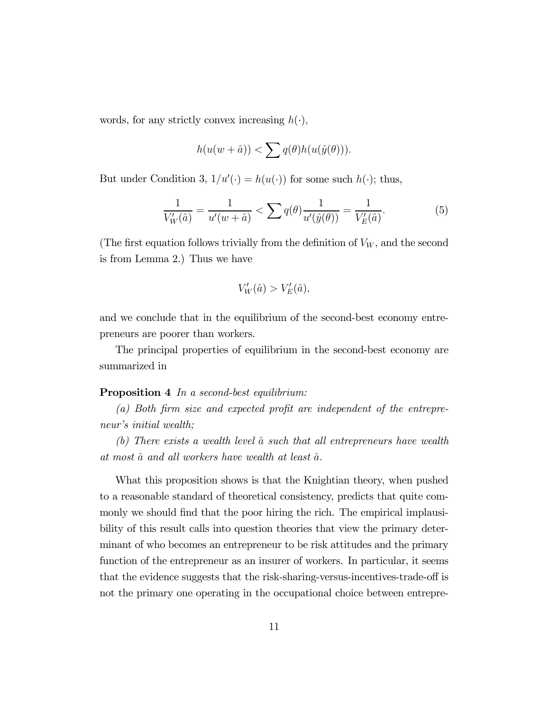words, for any strictly convex increasing  $h(\cdot)$ ,

$$
h(u(w + \hat{a})) < \sum q(\theta)h(u(\hat{y}(\theta))).
$$

But under Condition 3,  $1/u'(\cdot) = h(u(\cdot))$  for some such  $h(\cdot)$ ; thus,

$$
\frac{1}{V'_W(\hat{a})} = \frac{1}{u'(w+\hat{a})} < \sum q(\theta) \frac{1}{u'(\hat{y}(\theta))} = \frac{1}{V'_E(\hat{a})}.\tag{5}
$$

(The first equation follows trivially from the definition of  $V_W$ , and the second is from Lemma 2.) Thus we have

$$
V'_W(\hat{a}) > V'_E(\hat{a}),
$$

and we conclude that in the equilibrium of the second-best economy entrepreneurs are poorer than workers.

The principal properties of equilibrium in the second-best economy are summarized in

#### **Proposition 4** In a second-best equilibrium:

(a) Both firm size and expected profit are independent of the entrepreneur's initial wealth;

(b) There exists a wealth level  $\hat{a}$  such that all entrepreneurs have wealth at most  $\hat{a}$  and all workers have wealth at least  $\hat{a}$ .

What this proposition shows is that the Knightian theory, when pushed to a reasonable standard of theoretical consistency, predicts that quite commonly we should find that the poor hiring the rich. The empirical implausibility of this result calls into question theories that view the primary determinant of who becomes an entrepreneur to be risk attitudes and the primary function of the entrepreneur as an insurer of workers. In particular, it seems that the evidence suggests that the risk-sharing-versus-incentives-trade-off is not the primary one operating in the occupational choice between entrepre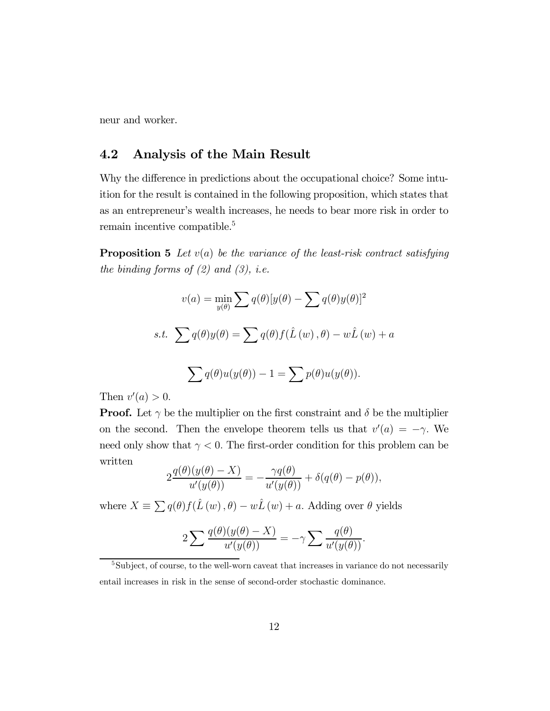neur and worker.

#### 4.2 Analysis of the Main Result

Why the difference in predictions about the occupational choice? Some intuition for the result is contained in the following proposition, which states that as an entrepreneur's wealth increases, he needs to bear more risk in order to remain incentive compatible.5

**Proposition 5** Let  $v(a)$  be the variance of the least-risk contract satisfying the binding forms of  $(2)$  and  $(3)$ , i.e.

$$
v(a) = \min_{y(\theta)} \sum q(\theta) [y(\theta) - \sum q(\theta)y(\theta)]^2
$$
  
s.t. 
$$
\sum q(\theta)y(\theta) = \sum q(\theta)f(\hat{L}(w), \theta) - w\hat{L}(w) + a
$$
  

$$
\sum q(\theta)u(y(\theta)) - 1 = \sum p(\theta)u(y(\theta)).
$$

Then  $v'(a) > 0$ .

**Proof.** Let  $\gamma$  be the multiplier on the first constraint and  $\delta$  be the multiplier on the second. Then the envelope theorem tells us that  $v'(a) = -\gamma$ . We need only show that  $\gamma < 0$ . The first-order condition for this problem can be written

$$
2\frac{q(\theta)(y(\theta) - X)}{u'(y(\theta))} = -\frac{\gamma q(\theta)}{u'(y(\theta))} + \delta(q(\theta) - p(\theta)),
$$

where  $X \equiv \sum q(\theta) f(\hat{L}(w), \theta) - w\hat{L}(w) + a$ . Adding over  $\theta$  yields

$$
2\sum \frac{q(\theta)(y(\theta) - X)}{u'(y(\theta))} = -\gamma \sum \frac{q(\theta)}{u'(y(\theta))}.
$$

<sup>5</sup>Subject, of course, to the well-worn caveat that increases in variance do not necessarily entail increases in risk in the sense of second-order stochastic dominance.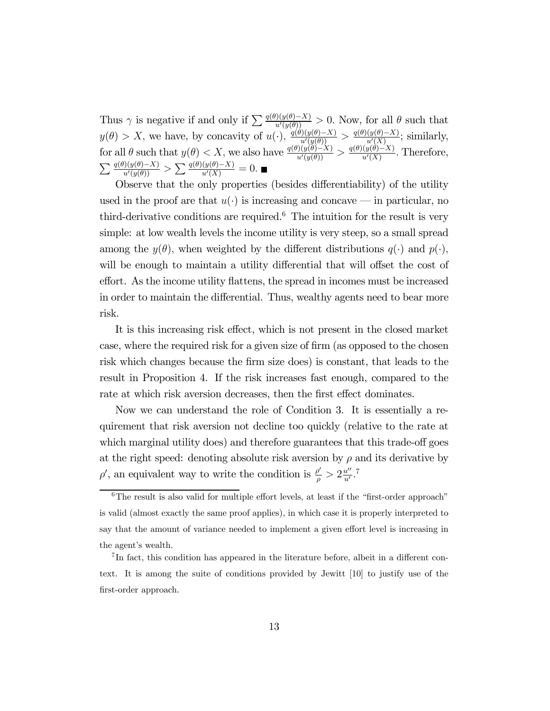Thus  $\gamma$  is negative if and only if  $\sum \frac{q(\theta)(y(\theta)-X)}{u'(y(\theta))} > 0$ . Now, for all  $\theta$  such that  $y(\theta) > X$ , we have, by concavity of  $u(\cdot)$ ,  $\frac{q(\theta)(y(\theta)-X)}{u'(y(\theta))} > \frac{q(\theta)(y(\theta)-X)}{u'(X)}$ ; similarly, for all  $\theta$  such that  $y(\theta) < X$ , we also have  $\frac{q(\theta)(y(\theta)-X)}{u'(y(\theta))} > \frac{q(\theta)(y(\theta)-X)}{u'(X)}$ . Therefore,  $\sum \frac{q(\theta)(y(\theta)-X)}{u'(y(\theta))} > \sum \frac{q(\theta)(y(\theta)-X)}{u'(X)} = 0.$ 

Observe that the only properties (besides differentiability) of the utility used in the proof are that  $u(\cdot)$  is increasing and concave — in particular, no third-derivative conditions are required.<sup>6</sup> The intuition for the result is very simple: at low wealth levels the income utility is very steep, so a small spread among the  $y(\theta)$ , when weighted by the different distributions  $q(\cdot)$  and  $p(\cdot)$ , will be enough to maintain a utility differential that will offset the cost of effort. As the income utility flattens, the spread in incomes must be increased in order to maintain the differential. Thus, wealthy agents need to bear more risk.

It is this increasing risk effect, which is not present in the closed market case, where the required risk for a given size of firm (as opposed to the chosen risk which changes because the firm size does) is constant, that leads to the result in Proposition 4. If the risk increases fast enough, compared to the rate at which risk aversion decreases, then the first effect dominates.

Now we can understand the role of Condition 3. It is essentially a requirement that risk aversion not decline too quickly (relative to the rate at which marginal utility does) and therefore guarantees that this trade-off goes at the right speed: denoting absolute risk aversion by  $\rho$  and its derivative by  $\rho'$ , an equivalent way to write the condition is  $\frac{\rho'}{\rho} > 2\frac{u''}{u'}$ .<sup>7</sup>

 $6$ The result is also valid for multiple effort levels, at least if the "first-order approach" is valid (almost exactly the same proof applies), in which case it is properly interpreted to say that the amount of variance needed to implement a given effort level is increasing in the agent's wealth.

<sup>7</sup> In fact, this condition has appeared in the literature before, albeit in a different context. It is among the suite of conditions provided by Jewitt [10] to justify use of the first-order approach.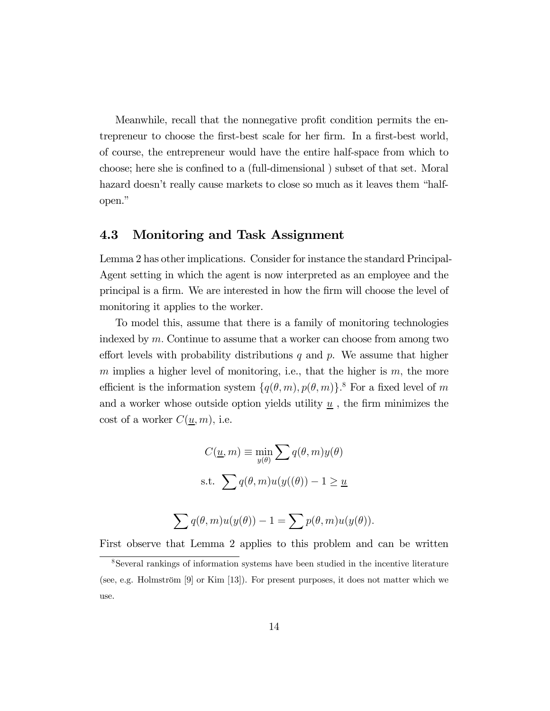Meanwhile, recall that the nonnegative profit condition permits the entrepreneur to choose the first-best scale for her firm. In a first-best world, of course, the entrepreneur would have the entire half-space from which to choose; here she is confined to a (full-dimensional ) subset of that set. Moral hazard doesn't really cause markets to close so much as it leaves them "halfopen."

#### 4.3 Monitoring and Task Assignment

Lemma 2 has other implications. Consider for instance the standard Principal-Agent setting in which the agent is now interpreted as an employee and the principal is a firm. We are interested in how the firm will choose the level of monitoring it applies to the worker.

To model this, assume that there is a family of monitoring technologies indexed by  $m$ . Continue to assume that a worker can choose from among two effort levels with probability distributions  $q$  and  $p$ . We assume that higher m implies a higher level of monitoring, i.e., that the higher is  $m$ , the more efficient is the information system  $\{q(\theta, m), p(\theta, m)\}$ .<sup>8</sup> For a fixed level of m and a worker whose outside option yields utility  $\underline{u}$ , the firm minimizes the cost of a worker  $C(\underline{u}, m)$ , i.e.

$$
C(\underline{u}, m) \equiv \min_{y(\theta)} \sum q(\theta, m)y(\theta)
$$
  
s.t. 
$$
\sum q(\theta, m)u(y(\theta)) - 1 \ge \underline{u}
$$
  

$$
\sum q(\theta, m)u(y(\theta)) - 1 = \sum p(\theta, m)u(y(\theta)).
$$

First observe that Lemma 2 applies to this problem and can be written

<sup>8</sup>Several rankings of information systems have been studied in the incentive literature (see, e.g. Holmström [9] or Kim [13]). For present purposes, it does not matter which we use.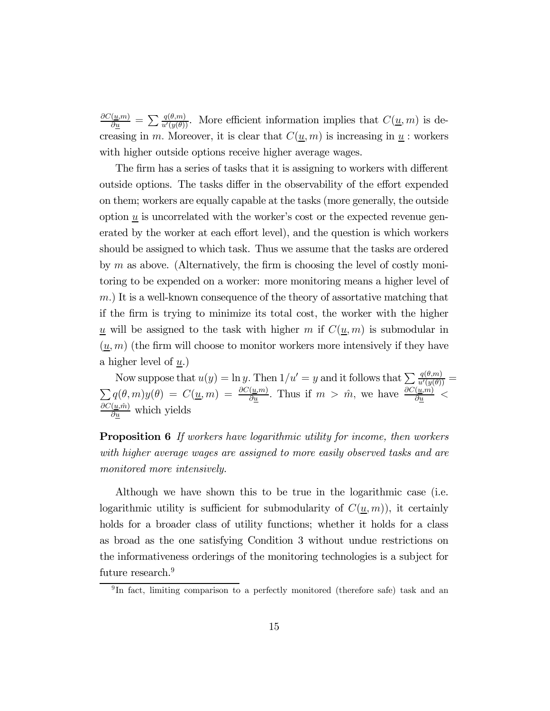$\frac{\partial C(\underline{u},m)}{\partial \underline{u}} = \sum \frac{q(\theta,m)}{u'(y(\theta))}$ . More efficient information implies that  $C(\underline{u},m)$  is decreasing in m. Moreover, it is clear that  $C(\underline{u}, m)$  is increasing in  $\underline{u}$ : workers with higher outside options receive higher average wages.

The firm has a series of tasks that it is assigning to workers with different outside options. The tasks differ in the observability of the effort expended on them; workers are equally capable at the tasks (more generally, the outside option  $\underline{u}$  is uncorrelated with the worker's cost or the expected revenue generated by the worker at each effort level), and the question is which workers should be assigned to which task. Thus we assume that the tasks are ordered by  $m$  as above. (Alternatively, the firm is choosing the level of costly monitoring to be expended on a worker: more monitoring means a higher level of m.) It is a well-known consequence of the theory of assortative matching that if the firm is trying to minimize its total cost, the worker with the higher <u>u</u> will be assigned to the task with higher m if  $C(\underline{u}, m)$  is submodular in  $(\underline{u}, m)$  (the firm will choose to monitor workers more intensively if they have a higher level of  $u$ .)

Now suppose that  $u(y) = \ln y$ . Then  $1/u' = y$  and it follows that  $\sum \frac{q(\theta, m)}{u'(y(\theta))} =$  $\sum q(\theta,m)y(\theta) = C(\underline{u},m) = \frac{\partial C(\underline{u},m)}{\partial \underline{u}}.$  Thus if  $m > \hat{m}$ , we have  $\frac{\partial C(\underline{u},m)}{\partial \underline{u}}$  $\frac{\partial C(\underline{u},\hat{m})}{\partial \underline{u}}$  which yields

**Proposition 6** If workers have logarithmic utility for income, then workers with higher average wages are assigned to more easily observed tasks and are monitored more intensively.

Although we have shown this to be true in the logarithmic case (i.e. logarithmic utility is sufficient for submodularity of  $C(\underline{u}, m)$ , it certainly holds for a broader class of utility functions; whether it holds for a class as broad as the one satisfying Condition 3 without undue restrictions on the informativeness orderings of the monitoring technologies is a subject for future research.<sup>9</sup>

<sup>&</sup>lt;sup>9</sup>In fact, limiting comparison to a perfectly monitored (therefore safe) task and an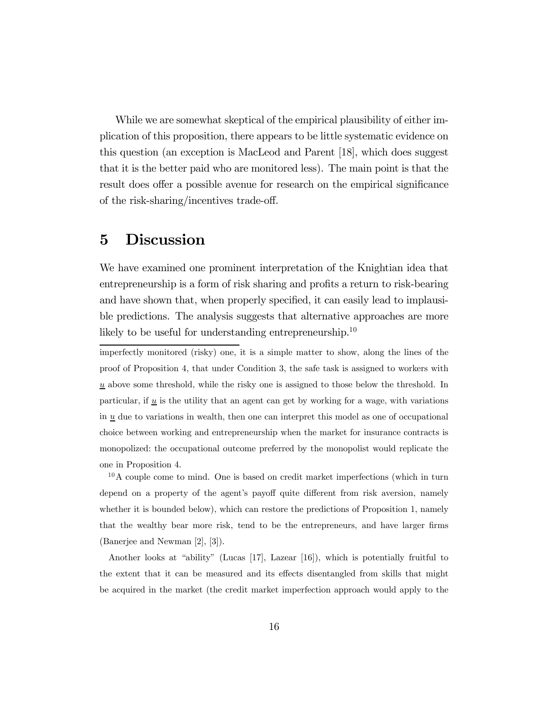While we are somewhat skeptical of the empirical plausibility of either implication of this proposition, there appears to be little systematic evidence on this question (an exception is MacLeod and Parent [18], which does suggest that it is the better paid who are monitored less). The main point is that the result does offer a possible avenue for research on the empirical significance of the risk-sharing/incentives trade-off.

## 5 Discussion

We have examined one prominent interpretation of the Knightian idea that entrepreneurship is a form of risk sharing and profits a return to risk-bearing and have shown that, when properly specified, it can easily lead to implausible predictions. The analysis suggests that alternative approaches are more likely to be useful for understanding entrepreneurship.<sup>10</sup>

imperfectly monitored (risky) one, it is a simple matter to show, along the lines of the proof of Proposition 4, that under Condition 3, the safe task is assigned to workers with  $\underline{u}$  above some threshold, while the risky one is assigned to those below the threshold. In particular, if  $\underline{u}$  is the utility that an agent can get by working for a wage, with variations in  $u$  due to variations in wealth, then one can interpret this model as one of occupational choice between working and entrepreneurship when the market for insurance contracts is monopolized: the occupational outcome preferred by the monopolist would replicate the one in Proposition 4.

 $10<sup>10</sup>A$  couple come to mind. One is based on credit market imperfections (which in turn depend on a property of the agent's payoff quite different from risk aversion, namely whether it is bounded below), which can restore the predictions of Proposition 1, namely that the wealthy bear more risk, tend to be the entrepreneurs, and have larger firms (Banerjee and Newman [2], [3]).

Another looks at "ability" (Lucas [17], Lazear [16]), which is potentially fruitful to the extent that it can be measured and its effects disentangled from skills that might be acquired in the market (the credit market imperfection approach would apply to the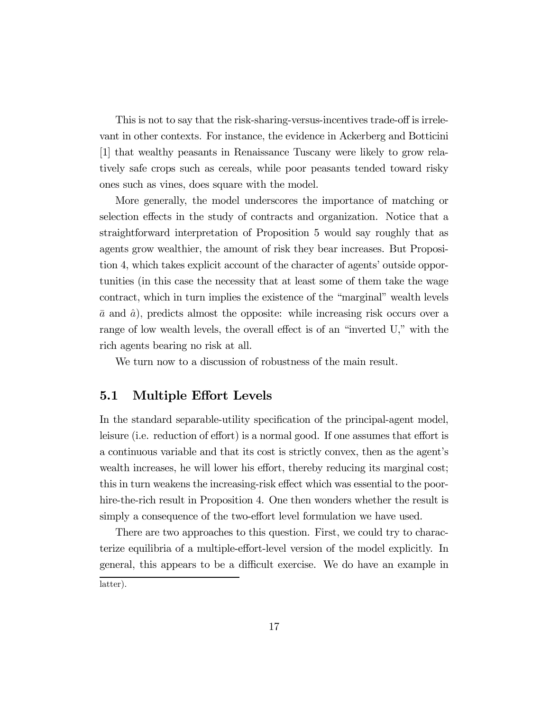This is not to say that the risk-sharing-versus-incentives trade-off is irrelevant in other contexts. For instance, the evidence in Ackerberg and Botticini [1] that wealthy peasants in Renaissance Tuscany were likely to grow relatively safe crops such as cereals, while poor peasants tended toward risky ones such as vines, does square with the model.

More generally, the model underscores the importance of matching or selection effects in the study of contracts and organization. Notice that a straightforward interpretation of Proposition 5 would say roughly that as agents grow wealthier, the amount of risk they bear increases. But Proposition 4, which takes explicit account of the character of agents' outside opportunities (in this case the necessity that at least some of them take the wage contract, which in turn implies the existence of the "marginal" wealth levels  $\bar{a}$  and  $\hat{a}$ ), predicts almost the opposite: while increasing risk occurs over a range of low wealth levels, the overall effect is of an "inverted U," with the rich agents bearing no risk at all.

We turn now to a discussion of robustness of the main result.

#### 5.1 Multiple Effort Levels

In the standard separable-utility specification of the principal-agent model, leisure (i.e. reduction of effort) is a normal good. If one assumes that effort is a continuous variable and that its cost is strictly convex, then as the agent's wealth increases, he will lower his effort, thereby reducing its marginal cost; this in turn weakens the increasing-risk effect which was essential to the poorhire-the-rich result in Proposition 4. One then wonders whether the result is simply a consequence of the two-effort level formulation we have used.

There are two approaches to this question. First, we could try to characterize equilibria of a multiple-effort-level version of the model explicitly. In general, this appears to be a difficult exercise. We do have an example in latter).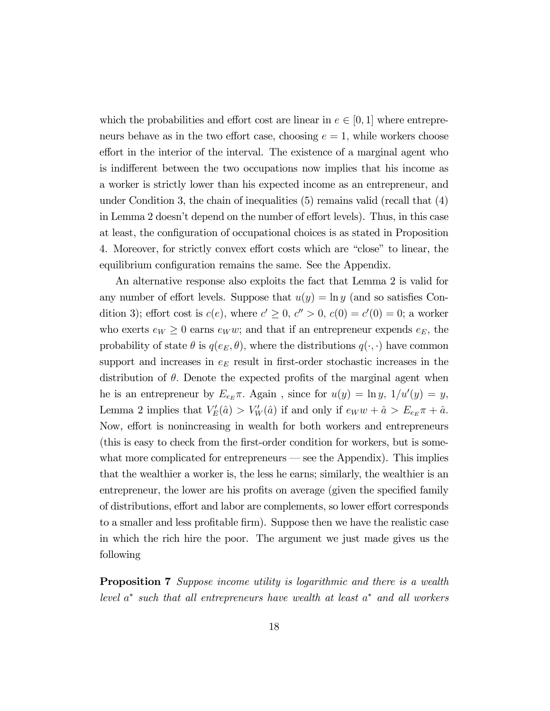which the probabilities and effort cost are linear in  $e \in [0,1]$  where entrepreneurs behave as in the two effort case, choosing  $e = 1$ , while workers choose effort in the interior of the interval. The existence of a marginal agent who is indifferent between the two occupations now implies that his income as a worker is strictly lower than his expected income as an entrepreneur, and under Condition 3, the chain of inequalities (5) remains valid (recall that (4) in Lemma 2 doesn't depend on the number of effort levels). Thus, in this case at least, the configuration of occupational choices is as stated in Proposition 4. Moreover, for strictly convex effort costs which are "close" to linear, the equilibrium configuration remains the same. See the Appendix.

An alternative response also exploits the fact that Lemma 2 is valid for any number of effort levels. Suppose that  $u(y) = \ln y$  (and so satisfies Condition 3); effort cost is  $c(e)$ , where  $c' \geq 0$ ,  $c'' > 0$ ,  $c(0) = c'(0) = 0$ ; a worker who exerts  $e_W \geq 0$  earns  $e_W w$ ; and that if an entrepreneur expends  $e_E$ , the probability of state  $\theta$  is  $q(e_E, \theta)$ , where the distributions  $q(\cdot, \cdot)$  have common support and increases in  $e_E$  result in first-order stochastic increases in the distribution of  $\theta$ . Denote the expected profits of the marginal agent when he is an entrepreneur by  $E_{e_E} \pi$ . Again, since for  $u(y) = \ln y$ ,  $1/u'(y) = y$ , Lemma 2 implies that  $V'_E(\hat{a}) > V'_W(\hat{a})$  if and only if  $e_W w + \hat{a} > E_{e_E} \pi + \hat{a}$ . Now, effort is nonincreasing in wealth for both workers and entrepreneurs (this is easy to check from the first-order condition for workers, but is somewhat more complicated for entrepreneurs — see the Appendix). This implies that the wealthier a worker is, the less he earns; similarly, the wealthier is an entrepreneur, the lower are his profits on average (given the specified family of distributions, effort and labor are complements, so lower effort corresponds to a smaller and less profitable firm). Suppose then we have the realistic case in which the rich hire the poor. The argument we just made gives us the following

**Proposition 7** Suppose income utility is logarithmic and there is a wealth level  $a^*$  such that all entrepreneurs have wealth at least  $a^*$  and all workers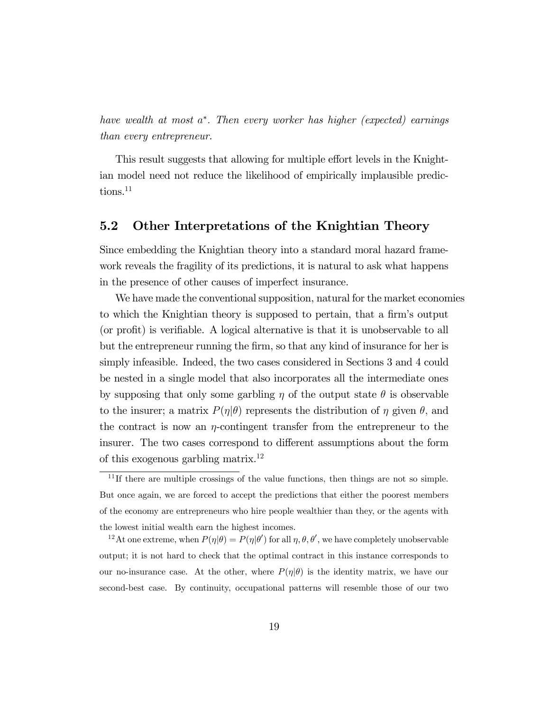have wealth at most a∗. Then every worker has higher (expected) earnings than every entrepreneur.

This result suggests that allowing for multiple effort levels in the Knightian model need not reduce the likelihood of empirically implausible predictions.<sup>11</sup>

#### 5.2 Other Interpretations of the Knightian Theory

Since embedding the Knightian theory into a standard moral hazard framework reveals the fragility of its predictions, it is natural to ask what happens in the presence of other causes of imperfect insurance.

We have made the conventional supposition, natural for the market economies to which the Knightian theory is supposed to pertain, that a firm's output (or profit) is verifiable. A logical alternative is that it is unobservable to all but the entrepreneur running the firm, so that any kind of insurance for her is simply infeasible. Indeed, the two cases considered in Sections 3 and 4 could be nested in a single model that also incorporates all the intermediate ones by supposing that only some garbling  $\eta$  of the output state  $\theta$  is observable to the insurer; a matrix  $P(\eta|\theta)$  represents the distribution of  $\eta$  given  $\theta$ , and the contract is now an  $\eta$ -contingent transfer from the entrepreneur to the insurer. The two cases correspond to different assumptions about the form of this exogenous garbling matrix.12

<sup>12</sup>At one extreme, when  $P(\eta|\theta) = P(\eta|\theta')$  for all  $\eta, \theta, \theta'$ , we have completely unobservable output; it is not hard to check that the optimal contract in this instance corresponds to our no-insurance case. At the other, where  $P(\eta|\theta)$  is the identity matrix, we have our second-best case. By continuity, occupational patterns will resemble those of our two

 $11$ If there are multiple crossings of the value functions, then things are not so simple. But once again, we are forced to accept the predictions that either the poorest members of the economy are entrepreneurs who hire people wealthier than they, or the agents with the lowest initial wealth earn the highest incomes.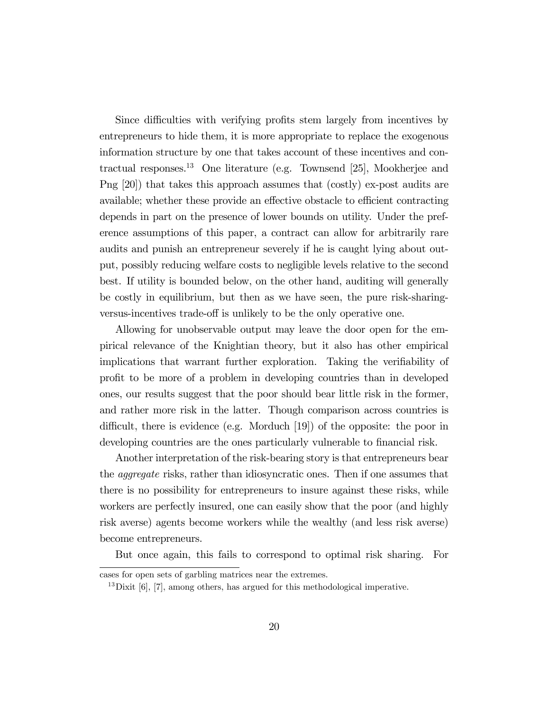Since difficulties with verifying profits stem largely from incentives by entrepreneurs to hide them, it is more appropriate to replace the exogenous information structure by one that takes account of these incentives and contractual responses.13 One literature (e.g. Townsend [25], Mookherjee and Png [20]) that takes this approach assumes that (costly) ex-post audits are available; whether these provide an effective obstacle to efficient contracting depends in part on the presence of lower bounds on utility. Under the preference assumptions of this paper, a contract can allow for arbitrarily rare audits and punish an entrepreneur severely if he is caught lying about output, possibly reducing welfare costs to negligible levels relative to the second best. If utility is bounded below, on the other hand, auditing will generally be costly in equilibrium, but then as we have seen, the pure risk-sharingversus-incentives trade-off is unlikely to be the only operative one.

Allowing for unobservable output may leave the door open for the empirical relevance of the Knightian theory, but it also has other empirical implications that warrant further exploration. Taking the verifiability of profit to be more of a problem in developing countries than in developed ones, our results suggest that the poor should bear little risk in the former, and rather more risk in the latter. Though comparison across countries is difficult, there is evidence (e.g. Morduch [19]) of the opposite: the poor in developing countries are the ones particularly vulnerable to financial risk.

Another interpretation of the risk-bearing story is that entrepreneurs bear the aggregate risks, rather than idiosyncratic ones. Then if one assumes that there is no possibility for entrepreneurs to insure against these risks, while workers are perfectly insured, one can easily show that the poor (and highly risk averse) agents become workers while the wealthy (and less risk averse) become entrepreneurs.

But once again, this fails to correspond to optimal risk sharing. For

cases for open sets of garbling matrices near the extremes.

 $13\,\text{Divit}$  [6], [7], among others, has argued for this methodological imperative.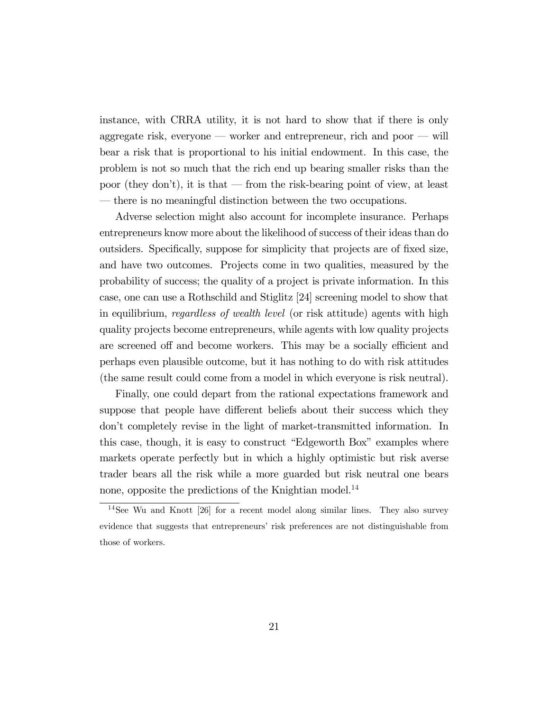instance, with CRRA utility, it is not hard to show that if there is only aggregate risk, everyone – worker and entrepreneur, rich and poor – will bear a risk that is proportional to his initial endowment. In this case, the problem is not so much that the rich end up bearing smaller risks than the poor (they don't), it is that – from the risk-bearing point of view, at least – there is no meaningful distinction between the two occupations.

Adverse selection might also account for incomplete insurance. Perhaps entrepreneurs know more about the likelihood of success of their ideas than do outsiders. Specifically, suppose for simplicity that projects are of fixed size, and have two outcomes. Projects come in two qualities, measured by the probability of success; the quality of a project is private information. In this case, one can use a Rothschild and Stiglitz [24] screening model to show that in equilibrium, regardless of wealth level (or risk attitude) agents with high quality projects become entrepreneurs, while agents with low quality projects are screened off and become workers. This may be a socially efficient and perhaps even plausible outcome, but it has nothing to do with risk attitudes (the same result could come from a model in which everyone is risk neutral).

Finally, one could depart from the rational expectations framework and suppose that people have different beliefs about their success which they don't completely revise in the light of market-transmitted information. In this case, though, it is easy to construct "Edgeworth Box" examples where markets operate perfectly but in which a highly optimistic but risk averse trader bears all the risk while a more guarded but risk neutral one bears none, opposite the predictions of the Knightian model.<sup>14</sup>

<sup>14</sup>See Wu and Knott [26] for a recent model along similar lines. They also survey evidence that suggests that entrepreneurs' risk preferences are not distinguishable from those of workers.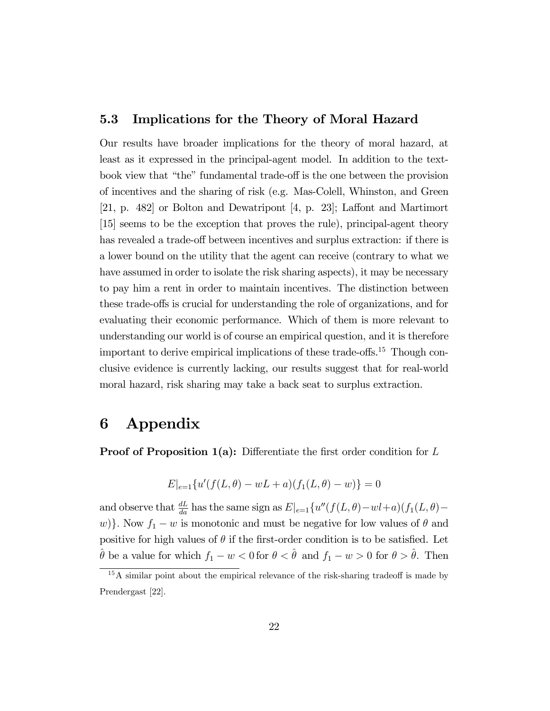#### 5.3 Implications for the Theory of Moral Hazard

Our results have broader implications for the theory of moral hazard, at least as it expressed in the principal-agent model. In addition to the textbook view that "the" fundamental trade-off is the one between the provision of incentives and the sharing of risk (e.g. Mas-Colell, Whinston, and Green [21, p. 482] or Bolton and Dewatripont [4, p. 23]; Laffont and Martimort [15] seems to be the exception that proves the rule), principal-agent theory has revealed a trade-off between incentives and surplus extraction: if there is a lower bound on the utility that the agent can receive (contrary to what we have assumed in order to isolate the risk sharing aspects), it may be necessary to pay him a rent in order to maintain incentives. The distinction between these trade-offs is crucial for understanding the role of organizations, and for evaluating their economic performance. Which of them is more relevant to understanding our world is of course an empirical question, and it is therefore important to derive empirical implications of these trade-offs.15 Though conclusive evidence is currently lacking, our results suggest that for real-world moral hazard, risk sharing may take a back seat to surplus extraction.

## 6 Appendix

**Proof of Proposition 1(a):** Differentiate the first order condition for  $L$ 

$$
E|_{e=1}\{u'(f(L,\theta) - wL + a)(f_1(L,\theta) - w)\} = 0
$$

and observe that  $\frac{dL}{da}$  has the same sign as  $E|_{e=1}\{u''(f(L,\theta)-wl+a)(f_1(L,\theta)-m)$ w)}. Now  $f_1 - w$  is monotonic and must be negative for low values of  $\theta$  and positive for high values of  $\theta$  if the first-order condition is to be satisfied. Let  $\hat{\theta}$  be a value for which  $f_1 - w < 0$  for  $\theta < \hat{\theta}$  and  $f_1 - w > 0$  for  $\theta > \hat{\theta}$ . Then

<sup>&</sup>lt;sup>15</sup>A similar point about the empirical relevance of the risk-sharing tradeoff is made by Prendergast [22].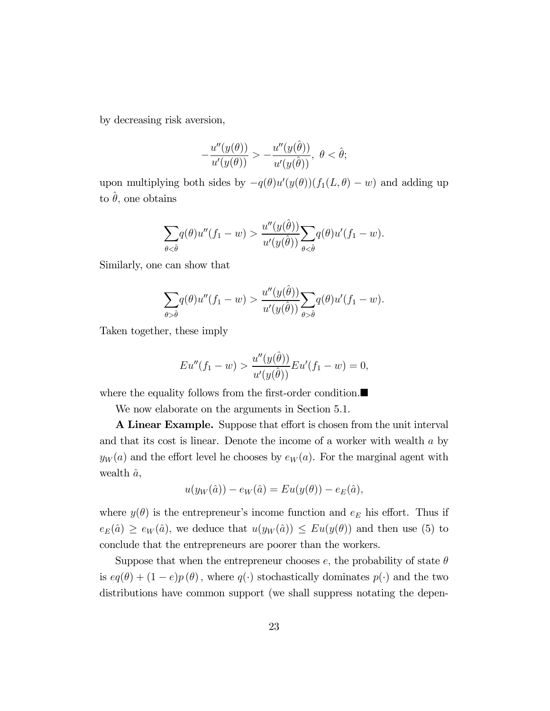by decreasing risk aversion,

$$
-\frac{u''(y(\theta))}{u'(y(\theta))} > -\frac{u''(y(\hat{\theta}))}{u'(y(\hat{\theta}))}, \ \theta < \hat{\theta};
$$

upon multiplying both sides by  $-q(\theta)u'(y(\theta))(f_1(L,\theta) - w)$  and adding up to  $\hat{\theta}$ , one obtains

$$
\sum_{\theta \leq \hat{\theta}} q(\theta)u''(f_1 - w) > \frac{u''(y(\hat{\theta}))}{u'(y(\hat{\theta}))} \sum_{\theta \leq \hat{\theta}} q(\theta)u'(f_1 - w).
$$

Similarly, one can show that

$$
\sum_{\theta > \hat{\theta}} q(\theta)u''(f_1 - w) > \frac{u''(y(\hat{\theta}))}{u'(y(\hat{\theta}))} \sum_{\theta > \hat{\theta}} q(\theta)u'(f_1 - w).
$$

Taken together, these imply

$$
Eu''(f_1 - w) > \frac{u''(y(\hat{\theta}))}{u'(y(\hat{\theta}))} Eu'(f_1 - w) = 0,
$$

where the equality follows from the first-order condition. $\blacksquare$ 

We now elaborate on the arguments in Section 5.1.

A Linear Example. Suppose that effort is chosen from the unit interval and that its cost is linear. Denote the income of a worker with wealth  $a$  by  $y_W(a)$  and the effort level he chooses by  $e_W(a)$ . For the marginal agent with wealth  $\hat{a}$ ,

$$
u(y_W(\hat{a})) - e_W(\hat{a}) = Eu(y(\theta)) - e_E(\hat{a}),
$$

where  $y(\theta)$  is the entrepreneur's income function and  $e_E$  his effort. Thus if  $e_E(\hat{a}) \geq e_W(\hat{a})$ , we deduce that  $u(y_W(\hat{a})) \leq Eu(y(\theta))$  and then use (5) to conclude that the entrepreneurs are poorer than the workers.

Suppose that when the entrepreneur chooses e, the probability of state  $\theta$ is  $eq(\theta) + (1 - e)p(\theta)$ , where  $q(\cdot)$  stochastically dominates  $p(\cdot)$  and the two distributions have common support (we shall suppress notating the depen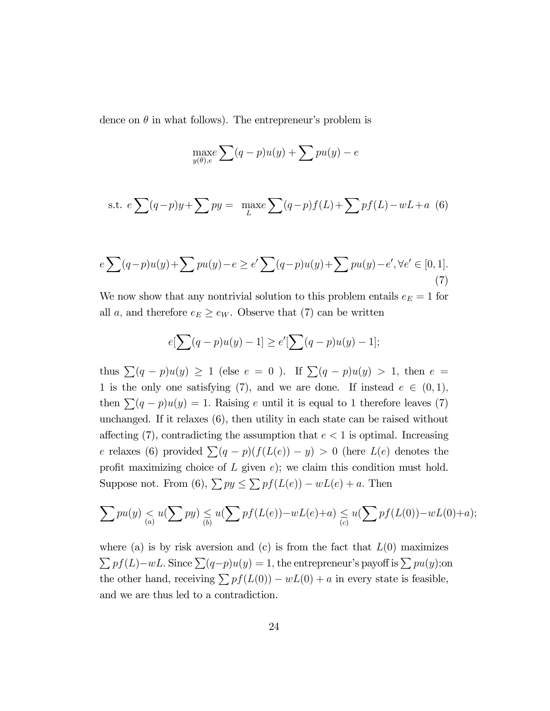dence on  $\theta$  in what follows). The entrepreneur's problem is

$$
\max_{y(\theta),e} \sum (q-p)u(y) + \sum pu(y) - e
$$

s.t. 
$$
e \sum (q-p)y + \sum py = \max_{L} \sum (q-p)f(L) + \sum pf(L) - wL + a
$$
 (6)

$$
e \sum (q-p)u(y) + \sum pu(y) - e \ge e' \sum (q-p)u(y) + \sum pu(y) - e', \forall e' \in [0,1].
$$
\n(7)

We now show that any nontrivial solution to this problem entails  $e_E = 1$  for all a, and therefore  $e_E \geq e_W$ . Observe that (7) can be written

$$
e[\sum (q-p)u(y) - 1] \ge e'[\sum (q-p)u(y) - 1];
$$

thus  $\sum (q - p)u(y) \ge 1$  (else  $e = 0$ ). If  $\sum (q - p)u(y) > 1$ , then  $e =$ 1 is the only one satisfying (7), and we are done. If instead  $e \in (0,1)$ , then  $\sum (q - p)u(y) = 1$ . Raising e until it is equal to 1 therefore leaves (7) unchanged. If it relaxes (6), then utility in each state can be raised without affecting (7), contradicting the assumption that  $e < 1$  is optimal. Increasing e relaxes (6) provided  $\sum (q - p)(f(L(e)) - y) > 0$  (here  $L(e)$  denotes the profit maximizing choice of  $L$  given  $e$ ); we claim this condition must hold. Suppose not. From (6),  $\sum py \leq \sum pf(L(e)) - wL(e) + a$ . Then

$$
\sum p u(y) \leq u(\sum py) \leq u(\sum pf(L(e)) - wL(e) + a) \leq u(\sum pf(L(0)) - wL(0) + a);
$$

where (a) is by risk aversion and (c) is from the fact that  $L(0)$  maximizes  $\sum pf(L)-wL$ . Since  $\sum (q-p)u(y)=1$ , the entrepreneur's payoff is  $\sum pu(y)$ ;on the other hand, receiving  $\sum pf(L(0)) - wL(0) + a$  in every state is feasible, and we are thus led to a contradiction.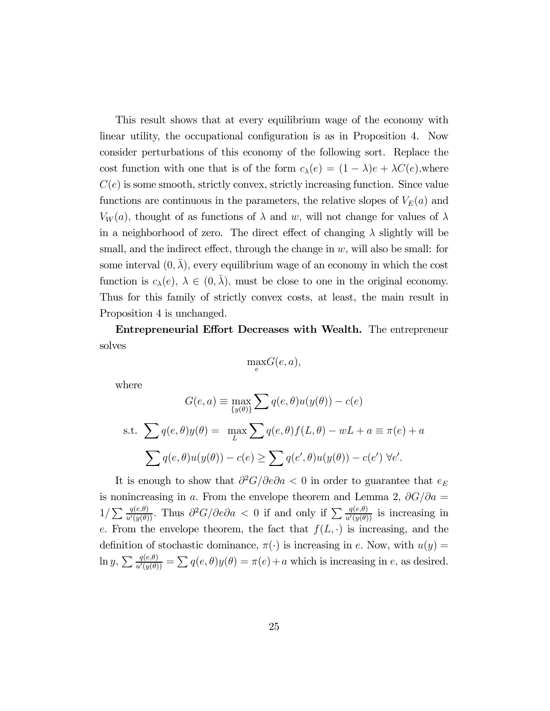This result shows that at every equilibrium wage of the economy with linear utility, the occupational configuration is as in Proposition 4. Now consider perturbations of this economy of the following sort. Replace the cost function with one that is of the form  $c_{\lambda}(e) = (1 - \lambda)e + \lambda C(e)$ , where  $C(e)$  is some smooth, strictly convex, strictly increasing function. Since value functions are continuous in the parameters, the relative slopes of  $V_E(a)$  and  $V_W(a)$ , thought of as functions of  $\lambda$  and w, will not change for values of  $\lambda$ in a neighborhood of zero. The direct effect of changing  $\lambda$  slightly will be small, and the indirect effect, through the change in  $w$ , will also be small: for some interval  $(0, \lambda)$ , every equilibrium wage of an economy in which the cost function is  $c_{\lambda}(e)$ ,  $\lambda \in (0, \bar{\lambda})$ , must be close to one in the original economy. Thus for this family of strictly convex costs, at least, the main result in Proposition 4 is unchanged.

Entrepreneurial Effort Decreases with Wealth. The entrepreneur solves

$$
\max_{e} G(e, a),
$$

where

$$
G(e, a) \equiv \max_{\{y(\theta)\}} \sum q(e, \theta)u(y(\theta)) - c(e)
$$
  
s.t. 
$$
\sum q(e, \theta)y(\theta) = \max_{L} \sum q(e, \theta)f(L, \theta) - wL + a \equiv \pi(e) + a
$$

$$
\sum q(e, \theta)u(y(\theta)) - c(e) \ge \sum q(e', \theta)u(y(\theta)) - c(e') \forall e'.
$$

It is enough to show that  $\partial^2 G/\partial e \partial a < 0$  in order to guarantee that  $e_E$ is nonincreasing in a. From the envelope theorem and Lemma 2,  $\partial G/\partial a =$  $1/\sum_{u'(y(\theta))} \frac{q(e,\theta)}{u'(y(\theta))}$ . Thus  $\partial^2 G/\partial e \partial a < 0$  if and only if  $\sum_{u'(y(\theta))} \frac{q(e,\theta)}{u'(y(\theta))}$  is increasing in e. From the envelope theorem, the fact that  $f(L, \cdot)$  is increasing, and the definition of stochastic dominance,  $\pi(\cdot)$  is increasing in e. Now, with  $u(y) =$  $\ln y, \sum \frac{q(e,\theta)}{u'(y(\theta))} = \sum q(e,\theta)y(\theta) = \pi(e) + a$  which is increasing in e, as desired.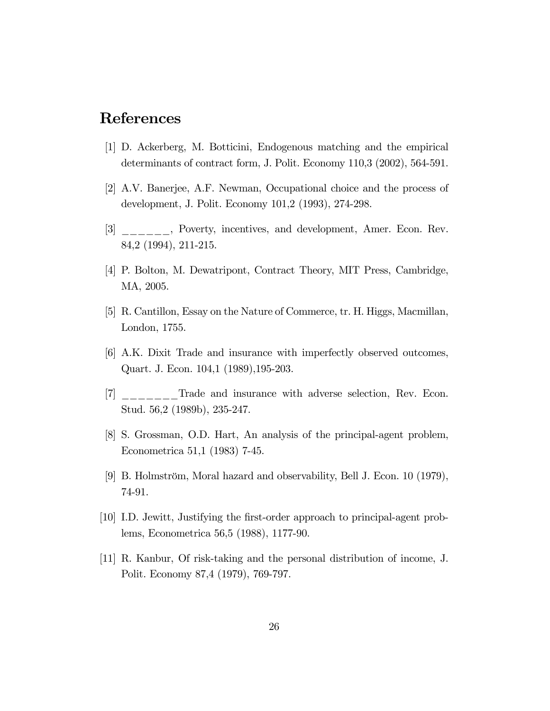### References

- [1] D. Ackerberg, M. Botticini, Endogenous matching and the empirical determinants of contract form, J. Polit. Economy 110,3 (2002), 564-591.
- [2] A.V. Banerjee, A.F. Newman, Occupational choice and the process of development, J. Polit. Economy 101,2 (1993), 274-298.
- [3] \_\_\_\_\_\_, Poverty, incentives, and development, Amer. Econ. Rev. 84,2 (1994), 211-215.
- [4] P. Bolton, M. Dewatripont, Contract Theory, MIT Press, Cambridge, MA, 2005.
- [5] R. Cantillon, Essay on the Nature of Commerce, tr. H. Higgs, Macmillan, London, 1755.
- [6] A.K. Dixit Trade and insurance with imperfectly observed outcomes, Quart. J. Econ. 104,1 (1989),195-203.
- [7] \_\_\_\_\_\_\_Trade and insurance with adverse selection, Rev. Econ. Stud. 56,2 (1989b), 235-247.
- [8] S. Grossman, O.D. Hart, An analysis of the principal-agent problem, Econometrica 51,1 (1983) 7-45.
- [9] B. Holmström, Moral hazard and observability, Bell J. Econ. 10 (1979), 74-91.
- [10] I.D. Jewitt, Justifying the first-order approach to principal-agent problems, Econometrica 56,5 (1988), 1177-90.
- [11] R. Kanbur, Of risk-taking and the personal distribution of income, J. Polit. Economy 87,4 (1979), 769-797.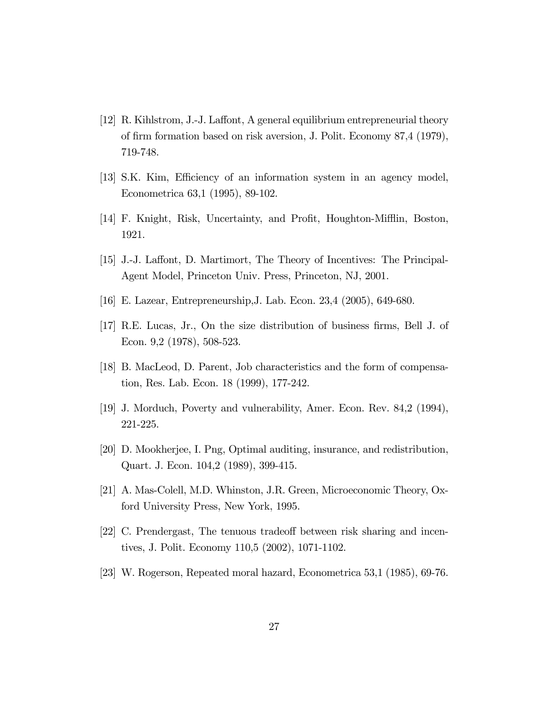- [12] R. Kihlstrom, J.-J. Laffont, A general equilibrium entrepreneurial theory of firm formation based on risk aversion, J. Polit. Economy 87,4 (1979), 719-748.
- [13] S.K. Kim, Efficiency of an information system in an agency model, Econometrica 63,1 (1995), 89-102.
- [14] F. Knight, Risk, Uncertainty, and Profit, Houghton-Mifflin, Boston, 1921.
- [15] J.-J. Laffont, D. Martimort, The Theory of Incentives: The Principal-Agent Model, Princeton Univ. Press, Princeton, NJ, 2001.
- [16] E. Lazear, Entrepreneurship,J. Lab. Econ. 23,4 (2005), 649-680.
- [17] R.E. Lucas, Jr., On the size distribution of business firms, Bell J. of Econ. 9,2 (1978), 508-523.
- [18] B. MacLeod, D. Parent, Job characteristics and the form of compensation, Res. Lab. Econ. 18 (1999), 177-242.
- [19] J. Morduch, Poverty and vulnerability, Amer. Econ. Rev. 84,2 (1994), 221-225.
- [20] D. Mookherjee, I. Png, Optimal auditing, insurance, and redistribution, Quart. J. Econ. 104,2 (1989), 399-415.
- [21] A. Mas-Colell, M.D. Whinston, J.R. Green, Microeconomic Theory, Oxford University Press, New York, 1995.
- [22] C. Prendergast, The tenuous tradeoff between risk sharing and incentives, J. Polit. Economy 110,5 (2002), 1071-1102.
- [23] W. Rogerson, Repeated moral hazard, Econometrica 53,1 (1985), 69-76.